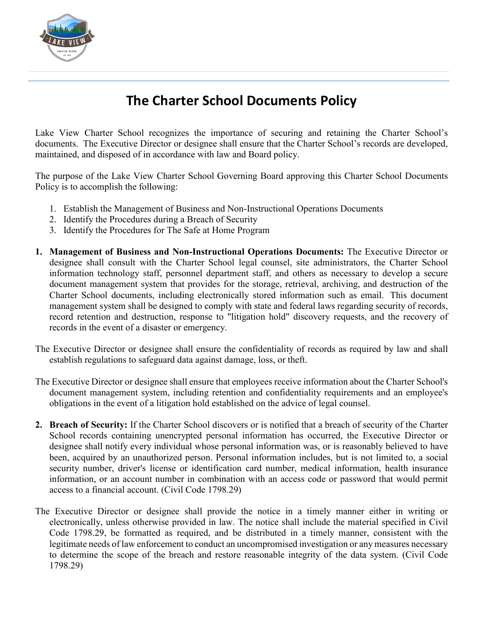

## **The Charter School Documents Policy**

Lake View Charter School recognizes the importance of securing and retaining the Charter School's documents. The Executive Director or designee shall ensure that the Charter School's records are developed, maintained, and disposed of in accordance with law and Board policy.

The purpose of the Lake View Charter School Governing Board approving this Charter School Documents Policy is to accomplish the following:

- 1. Establish the Management of Business and Non-Instructional Operations Documents
- 2. Identify the Procedures during a Breach of Security
- 3. Identify the Procedures for The Safe at Home Program
- **1. Management of Business and Non-Instructional Operations Documents:** The Executive Director or designee shall consult with the Charter School legal counsel, site administrators, the Charter School information technology staff, personnel department staff, and others as necessary to develop a secure document management system that provides for the storage, retrieval, archiving, and destruction of the Charter School documents, including electronically stored information such as email. This document management system shall be designed to comply with state and federal laws regarding security of records, record retention and destruction, response to "litigation hold" discovery requests, and the recovery of records in the event of a disaster or emergency.
- The Executive Director or designee shall ensure the confidentiality of records as required by law and shall establish regulations to safeguard data against damage, loss, or theft.
- The Executive Director or designee shall ensure that employees receive information about the Charter School's document management system, including retention and confidentiality requirements and an employee's obligations in the event of a litigation hold established on the advice of legal counsel.
- **2. Breach of Security:** If the Charter School discovers or is notified that a breach of security of the Charter School records containing unencrypted personal information has occurred, the Executive Director or designee shall notify every individual whose personal information was, or is reasonably believed to have been, acquired by an unauthorized person. Personal information includes, but is not limited to, a social security number, driver's license or identification card number, medical information, health insurance information, or an account number in combination with an access code or password that would permit access to a financial account. (Civil Code 1798.29)
- The Executive Director or designee shall provide the notice in a timely manner either in writing or electronically, unless otherwise provided in law. The notice shall include the material specified in Civil Code 1798.29, be formatted as required, and be distributed in a timely manner, consistent with the legitimate needs of law enforcement to conduct an uncompromised investigation or any measures necessary to determine the scope of the breach and restore reasonable integrity of the data system. (Civil Code 1798.29)